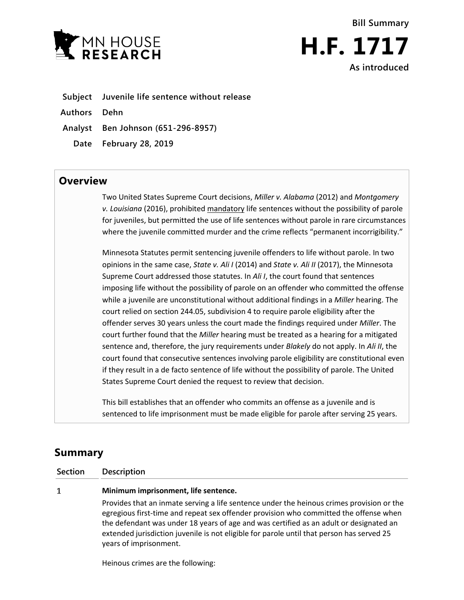



**Subject Juvenile life sentence without release Authors Dehn Analyst Ben Johnson (651-296-8957)**

**Date February 28, 2019**

## **Overview**

Two United States Supreme Court decisions, *Miller v. Alabama* (2012) and *Montgomery v. Louisiana* (2016), prohibited mandatory life sentences without the possibility of parole for juveniles, but permitted the use of life sentences without parole in rare circumstances where the juvenile committed murder and the crime reflects "permanent incorrigibility."

Minnesota Statutes permit sentencing juvenile offenders to life without parole. In two opinions in the same case, *State v. Ali I* (2014) and *State v. Ali II* (2017), the Minnesota Supreme Court addressed those statutes. In *Ali I*, the court found that sentences imposing life without the possibility of parole on an offender who committed the offense while a juvenile are unconstitutional without additional findings in a *Miller* hearing. The court relied on section 244.05, subdivision 4 to require parole eligibility after the offender serves 30 years unless the court made the findings required under *Miller*. The court further found that the *Miller* hearing must be treated as a hearing for a mitigated sentence and, therefore, the jury requirements under *Blakely* do not apply. In *Ali II*, the court found that consecutive sentences involving parole eligibility are constitutional even if they result in a de facto sentence of life without the possibility of parole. The United States Supreme Court denied the request to review that decision.

This bill establishes that an offender who commits an offense as a juvenile and is sentenced to life imprisonment must be made eligible for parole after serving 25 years.

# **Summary**

 $\mathbf{1}$ 

**Section Description**

### **Minimum imprisonment, life sentence.**

Provides that an inmate serving a life sentence under the heinous crimes provision or the egregious first-time and repeat sex offender provision who committed the offense when the defendant was under 18 years of age and was certified as an adult or designated an extended jurisdiction juvenile is not eligible for parole until that person has served 25 years of imprisonment.

Heinous crimes are the following: